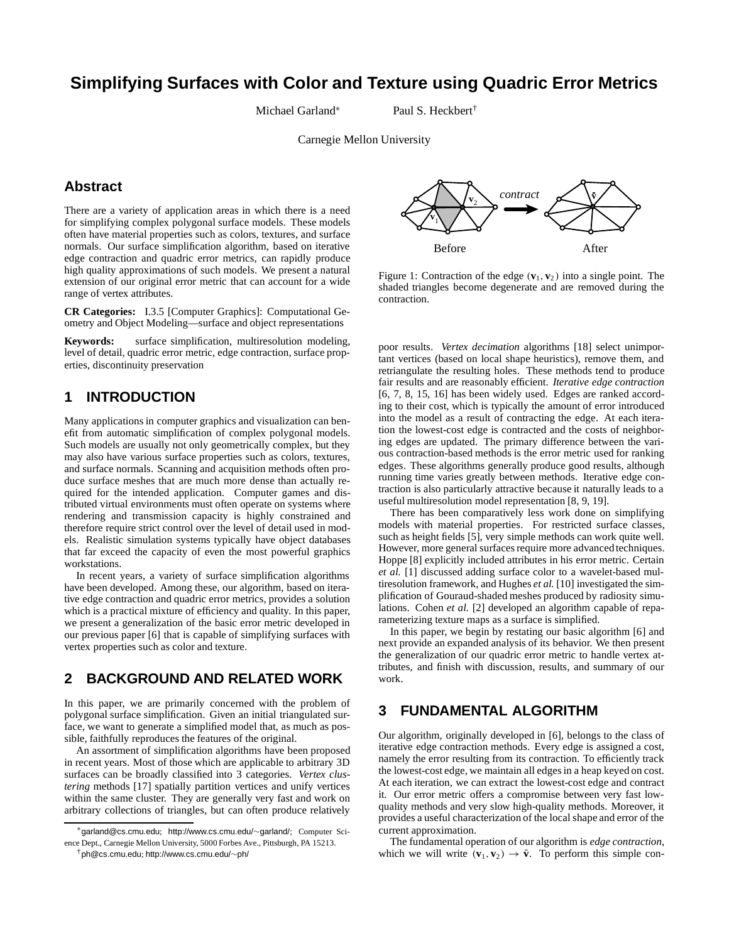# **Simplifying Surfaces with Color and Texture using Quadric Error Metrics**

Michael Garland<sup>∗</sup> Paul S. Heckbert†

Carnegie Mellon University

# **Abstract**

There are a variety of application areas in which there is a need for simplifying complex polygonal surface models. These models often have material properties such as colors, textures, and surface normals. Our surface simplification algorithm, based on iterative edge contraction and quadric error metrics, can rapidly produce high quality approximations of such models. We present a natural extension of our original error metric that can account for a wide range of vertex attributes.

**CR Categories:** I.3.5 [Computer Graphics]: Computational Geometry and Object Modeling—surface and object representations

**Keywords:** surface simplification, multiresolution modeling, level of detail, quadric error metric, edge contraction, surface properties, discontinuity preservation

# **1 INTRODUCTION**

Many applications in computer graphics and visualization can benefit from automatic simplification of complex polygonal models. Such models are usually not only geometrically complex, but they may also have various surface properties such as colors, textures, and surface normals. Scanning and acquisition methods often produce surface meshes that are much more dense than actually required for the intended application. Computer games and distributed virtual environments must often operate on systems where rendering and transmission capacity is highly constrained and therefore require strict control over the level of detail used in models. Realistic simulation systems typically have object databases that far exceed the capacity of even the most powerful graphics workstations.

In recent years, a variety of surface simplification algorithms have been developed. Among these, our algorithm, based on iterative edge contraction and quadric error metrics, provides a solution which is a practical mixture of efficiency and quality. In this paper, we present a generalization of the basic error metric developed in our previous paper [6] that is capable of simplifying surfaces with vertex properties such as color and texture.

### **2 BACKGROUND AND RELATED WORK**

In this paper, we are primarily concerned with the problem of polygonal surface simplification. Given an initial triangulated surface, we want to generate a simplified model that, as much as possible, faithfully reproduces the features of the original.

An assortment of simplification algorithms have been proposed in recent years. Most of those which are applicable to arbitrary 3D surfaces can be broadly classified into 3 categories. *Vertex clustering* methods [17] spatially partition vertices and unify vertices within the same cluster. They are generally very fast and work on arbitrary collections of triangles, but can often produce relatively

<sup>∗</sup>garland@cs.cmu.edu; http://www.cs.cmu.edu/∼garland/; Computer Science Dept., Carnegie Mellon University, 5000 Forbes Ave., Pittsburgh, PA 15213.





Figure 1: Contraction of the edge  $(v_1, v_2)$  into a single point. The shaded triangles become degenerate and are removed during the contraction.

poor results. *Vertex decimation* algorithms [18] select unimportant vertices (based on local shape heuristics), remove them, and retriangulate the resulting holes. These methods tend to produce fair results and are reasonably efficient. *Iterative edge contraction* [6, 7, 8, 15, 16] has been widely used. Edges are ranked according to their cost, which is typically the amount of error introduced into the model as a result of contracting the edge. At each iteration the lowest-cost edge is contracted and the costs of neighboring edges are updated. The primary difference between the various contraction-based methods is the error metric used for ranking edges. These algorithms generally produce good results, although running time varies greatly between methods. Iterative edge contraction is also particularly attractive because it naturally leads to a useful multiresolution model representation [8, 9, 19].

There has been comparatively less work done on simplifying models with material properties. For restricted surface classes, such as height fields [5], very simple methods can work quite well. However, more general surfaces require more advanced techniques. Hoppe [8] explicitly included attributes in his error metric. Certain *et al.* [1] discussed adding surface color to a wavelet-based multiresolution framework, and Hughes *et al.* [10] investigated the simplification of Gouraud-shaded meshes produced by radiosity simulations. Cohen *et al.* [2] developed an algorithm capable of reparameterizing texture maps as a surface is simplified.

In this paper, we begin by restating our basic algorithm [6] and next provide an expanded analysis of its behavior. We then present the generalization of our quadric error metric to handle vertex attributes, and finish with discussion, results, and summary of our work.

### **3 FUNDAMENTAL ALGORITHM**

Our algorithm, originally developed in [6], belongs to the class of iterative edge contraction methods. Every edge is assigned a cost, namely the error resulting from its contraction. To efficiently track the lowest-cost edge, we maintain all edges in a heap keyed on cost. At each iteration, we can extract the lowest-cost edge and contract it. Our error metric offers a compromise between very fast lowquality methods and very slow high-quality methods. Moreover, it provides a useful characterization of the local shape and error of the current approximation.

The fundamental operation of our algorithm is *edge contraction*, which we will write  $(\mathbf{v}_1, \mathbf{v}_2) \rightarrow \mathbf{\bar{v}}$ . To perform this simple con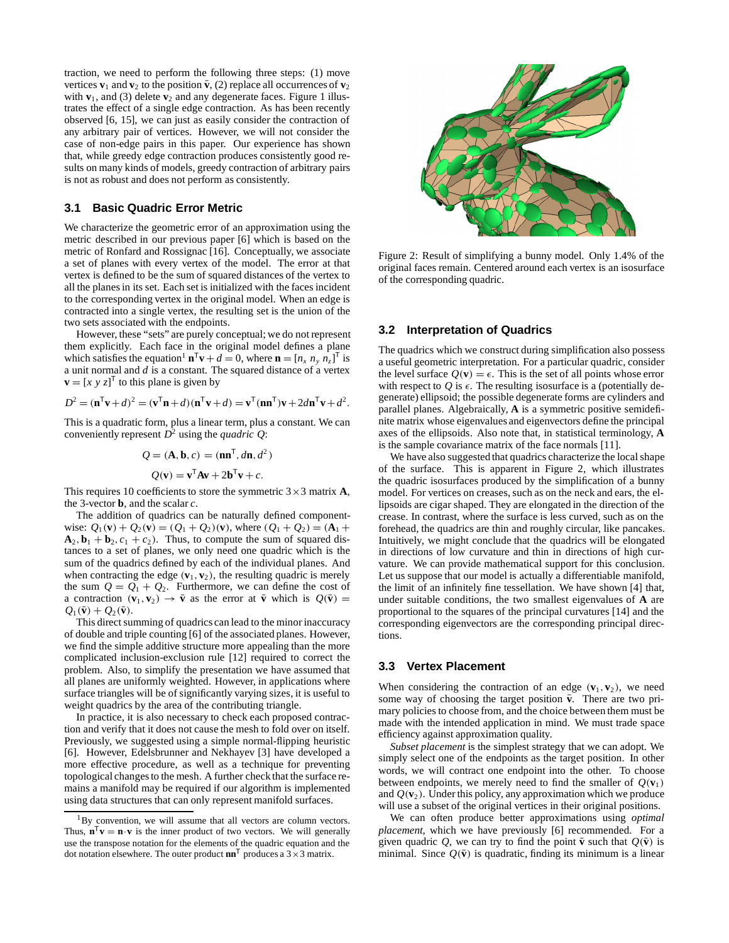traction, we need to perform the following three steps: (1) move vertices  $\mathbf{v}_1$  and  $\mathbf{v}_2$  to the position  $\bar{\mathbf{v}}$ , (2) replace all occurrences of  $\mathbf{v}_2$ with  $\mathbf{v}_1$ , and (3) delete  $\mathbf{v}_2$  and any degenerate faces. Figure 1 illustrates the effect of a single edge contraction. As has been recently observed [6, 15], we can just as easily consider the contraction of any arbitrary pair of vertices. However, we will not consider the case of non-edge pairs in this paper. Our experience has shown that, while greedy edge contraction produces consistently good results on many kinds of models, greedy contraction of arbitrary pairs is not as robust and does not perform as consistently.

### **3.1 Basic Quadric Error Metric**

We characterize the geometric error of an approximation using the metric described in our previous paper [6] which is based on the metric of Ronfard and Rossignac [16]. Conceptually, we associate a set of planes with every vertex of the model. The error at that vertex is defined to be the sum of squared distances of the vertex to all the planes in its set. Each set is initialized with the faces incident to the corresponding vertex in the original model. When an edge is contracted into a single vertex, the resulting set is the union of the two sets associated with the endpoints.

However, these "sets" are purely conceptual; we do not represent them explicitly. Each face in the original model defines a plane which satisfies the equation<sup>1</sup>  $\mathbf{n}^T \mathbf{v} + d = 0$ , where  $\mathbf{n} = [n_x n_y n_z]^T$  is a unit normal and *d* is a constant. The squared distance of a vertex  $\mathbf{v} = [x \ y \ z]^T$  to this plane is given by

$$
D2 = (\mathbf{n}^{\mathsf{T}} \mathbf{v} + d)2 = (\mathbf{v}^{\mathsf{T}} \mathbf{n} + d)(\mathbf{n}^{\mathsf{T}} \mathbf{v} + d) = \mathbf{v}^{\mathsf{T}} (\mathbf{n} \mathbf{n}^{\mathsf{T}}) \mathbf{v} + 2d \mathbf{n}^{\mathsf{T}} \mathbf{v} + d2.
$$

This is a quadratic form, plus a linear term, plus a constant. We can conveniently represent  $D^2$  using the *quadric Q*:

$$
Q = (\mathbf{A}, \mathbf{b}, c) = (\mathbf{n}\mathbf{n}^{\mathsf{T}}, d\mathbf{n}, d^2)
$$

$$
Q(\mathbf{v}) = \mathbf{v}^{\mathsf{T}} \mathbf{A} \mathbf{v} + 2\mathbf{b}^{\mathsf{T}} \mathbf{v} + c.
$$

This requires 10 coefficients to store the symmetric  $3 \times 3$  matrix **A**, the 3-vector **b**, and the scalar *c*.

The addition of quadrics can be naturally defined componentwise:  $Q_1(\mathbf{v}) + Q_2(\mathbf{v}) = (Q_1 + Q_2)(\mathbf{v})$ , where  $(Q_1 + Q_2) = (\mathbf{A}_1 + \mathbf{A}_2)(\mathbf{A}_2)$  $A_2$ ,  $b_1 + b_2$ ,  $c_1 + c_2$ ). Thus, to compute the sum of squared distances to a set of planes, we only need one quadric which is the sum of the quadrics defined by each of the individual planes. And when contracting the edge  $(\mathbf{v}_1, \mathbf{v}_2)$ , the resulting quadric is merely the sum  $Q = Q_1 + Q_2$ . Furthermore, we can define the cost of a contraction  $(\mathbf{v}_1, \mathbf{v}_2) \rightarrow \mathbf{\bar{v}}$  as the error at  $\mathbf{\bar{v}}$  which is  $Q(\mathbf{\bar{v}}) =$  $Q_1(\mathbf{\bar{v}}) + Q_2(\mathbf{\bar{v}}).$ 

This direct summing of quadrics can lead to the minor inaccuracy of double and triple counting [6] of the associated planes. However, we find the simple additive structure more appealing than the more complicated inclusion-exclusion rule [12] required to correct the problem. Also, to simplify the presentation we have assumed that all planes are uniformly weighted. However, in applications where surface triangles will be of significantly varying sizes, it is useful to weight quadrics by the area of the contributing triangle.

In practice, it is also necessary to check each proposed contraction and verify that it does not cause the mesh to fold over on itself. Previously, we suggested using a simple normal-flipping heuristic [6]. However, Edelsbrunner and Nekhayev [3] have developed a more effective procedure, as well as a technique for preventing topological changes to the mesh. A further check that the surface remains a manifold may be required if our algorithm is implemented using data structures that can only represent manifold surfaces.



Figure 2: Result of simplifying a bunny model. Only 1.4% of the original faces remain. Centered around each vertex is an isosurface of the corresponding quadric.

#### **3.2 Interpretation of Quadrics**

The quadrics which we construct during simplification also possess a useful geometric interpretation. For a particular quadric, consider the level surface  $Q(\mathbf{v}) = \epsilon$ . This is the set of all points whose error with respect to  $Q$  is  $\epsilon$ . The resulting isosurface is a (potentially degenerate) ellipsoid; the possible degenerate forms are cylinders and parallel planes. Algebraically, **A** is a symmetric positive semidefinite matrix whose eigenvalues and eigenvectors define the principal axes of the ellipsoids. Also note that, in statistical terminology, **A** is the sample covariance matrix of the face normals [11].

We have also suggested that quadrics characterize the local shape of the surface. This is apparent in Figure 2, which illustrates the quadric isosurfaces produced by the simplification of a bunny model. For vertices on creases, such as on the neck and ears, the ellipsoids are cigar shaped. They are elongated in the direction of the crease. In contrast, where the surface is less curved, such as on the forehead, the quadrics are thin and roughly circular, like pancakes. Intuitively, we might conclude that the quadrics will be elongated in directions of low curvature and thin in directions of high curvature. We can provide mathematical support for this conclusion. Let us suppose that our model is actually a differentiable manifold, the limit of an infinitely fine tessellation. We have shown [4] that, under suitable conditions, the two smallest eigenvalues of **A** are proportional to the squares of the principal curvatures [14] and the corresponding eigenvectors are the corresponding principal directions.

### **3.3 Vertex Placement**

When considering the contraction of an edge  $(\mathbf{v}_1, \mathbf{v}_2)$ , we need some way of choosing the target position  $\bar{v}$ . There are two primary policies to choose from, and the choice between them must be made with the intended application in mind. We must trade space efficiency against approximation quality.

*Subset placement* is the simplest strategy that we can adopt. We simply select one of the endpoints as the target position. In other words, we will contract one endpoint into the other. To choose between endpoints, we merely need to find the smaller of  $Q(\mathbf{v}_1)$ and  $Q(\mathbf{v}_2)$ . Under this policy, any approximation which we produce will use a subset of the original vertices in their original positions.

We can often produce better approximations using *optimal placement*, which we have previously [6] recommended. For a given quadric Q, we can try to find the point  $\bar{\mathbf{v}}$  such that  $Q(\bar{\mathbf{v}})$  is minimal. Since  $Q(\bar{v})$  is quadratic, finding its minimum is a linear

 $1_{\rm By}$  convention, we will assume that all vectors are column vectors. Thus,  $\mathbf{n}^T \mathbf{v} = \mathbf{n} \cdot \mathbf{v}$  is the inner product of two vectors. We will generally use the transpose notation for the elements of the quadric equation and the dot notation elsewhere. The outer product  $\mathbf{nn}^{\mathsf{T}}$  produces a  $3 \times 3$  matrix.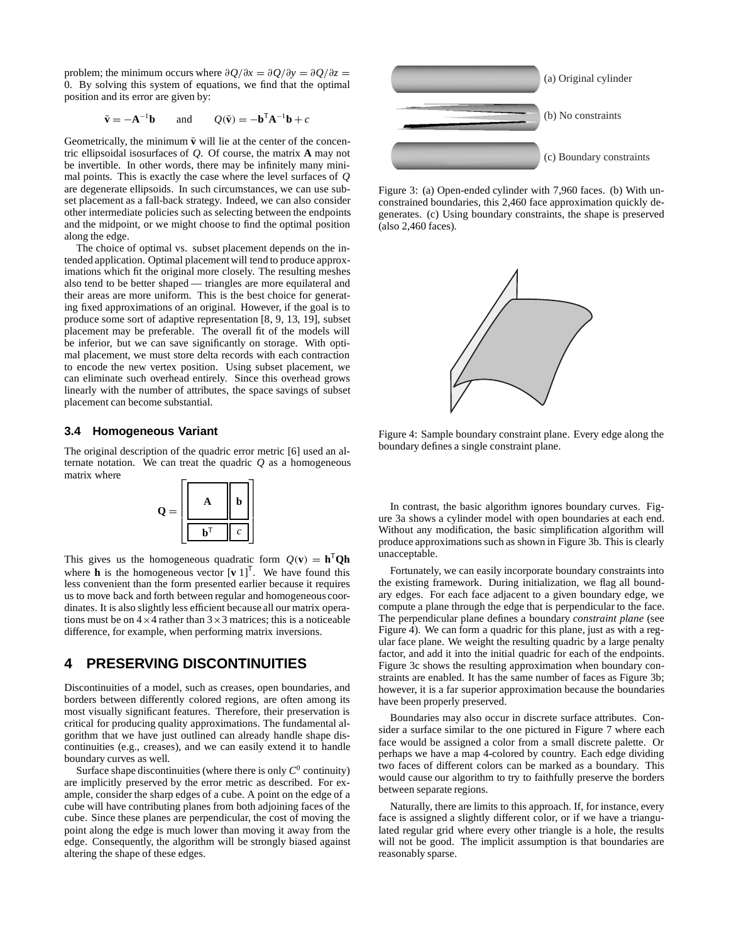problem; the minimum occurs where  $\partial Q/\partial x = \partial Q/\partial y = \partial Q/\partial z$ 0. By solving this system of equations, we find that the optimal position and its error are given by:

$$
\bar{\mathbf{v}} = -\mathbf{A}^{-1}\mathbf{b}
$$
 and  $Q(\bar{\mathbf{v}}) = -\mathbf{b}^{\mathsf{T}}\mathbf{A}^{-1}\mathbf{b} + c$ 

Geometrically, the minimum  $\bar{v}$  will lie at the center of the concentric ellipsoidal isosurfaces of *Q*. Of course, the matrix **A** may not be invertible. In other words, there may be infinitely many minimal points. This is exactly the case where the level surfaces of *Q* are degenerate ellipsoids. In such circumstances, we can use subset placement as a fall-back strategy. Indeed, we can also consider other intermediate policies such as selecting between the endpoints and the midpoint, or we might choose to find the optimal position along the edge.

The choice of optimal vs. subset placement depends on the intended application. Optimal placementwill tend to produce approximations which fit the original more closely. The resulting meshes also tend to be better shaped — triangles are more equilateral and their areas are more uniform. This is the best choice for generating fixed approximations of an original. However, if the goal is to produce some sort of adaptive representation [8, 9, 13, 19], subset placement may be preferable. The overall fit of the models will be inferior, but we can save significantly on storage. With optimal placement, we must store delta records with each contraction to encode the new vertex position. Using subset placement, we can eliminate such overhead entirely. Since this overhead grows linearly with the number of attributes, the space savings of subset placement can become substantial.

### **3.4 Homogeneous Variant**

The original description of the quadric error metric [6] used an alternate notation. We can treat the quadric  $Q$  as a homogeneous matrix where



This gives us the homogeneous quadratic form  $Q(\mathbf{v}) = \mathbf{h}^{\mathsf{T}}\mathbf{Q}\mathbf{h}$ where **h** is the homogeneous vector  $\begin{bmatrix} \mathbf{v} & 1 \end{bmatrix}^T$ . We have found this less convenient than the form presented earlier because it requires us to move back and forth between regular and homogeneous coordinates. It is also slightly less efficient because all our matrix operations must be on  $4 \times 4$  rather than  $3 \times 3$  matrices; this is a noticeable difference, for example, when performing matrix inversions.

# **4 PRESERVING DISCONTINUITIES**

Discontinuities of a model, such as creases, open boundaries, and borders between differently colored regions, are often among its most visually significant features. Therefore, their preservation is critical for producing quality approximations. The fundamental algorithm that we have just outlined can already handle shape discontinuities (e.g., creases), and we can easily extend it to handle boundary curves as well.

Surface shape discontinuities (where there is only  $C^0$  continuity) are implicitly preserved by the error metric as described. For example, consider the sharp edges of a cube. A point on the edge of a cube will have contributing planes from both adjoining faces of the cube. Since these planes are perpendicular, the cost of moving the point along the edge is much lower than moving it away from the edge. Consequently, the algorithm will be strongly biased against altering the shape of these edges.



Figure 3: (a) Open-ended cylinder with 7,960 faces. (b) With unconstrained boundaries, this 2,460 face approximation quickly degenerates. (c) Using boundary constraints, the shape is preserved (also 2,460 faces).



Figure 4: Sample boundary constraint plane. Every edge along the boundary defines a single constraint plane.

In contrast, the basic algorithm ignores boundary curves. Figure 3a shows a cylinder model with open boundaries at each end. Without any modification, the basic simplification algorithm will produce approximations such as shown in Figure 3b. This is clearly unacceptable.

Fortunately, we can easily incorporate boundary constraints into the existing framework. During initialization, we flag all boundary edges. For each face adjacent to a given boundary edge, we compute a plane through the edge that is perpendicular to the face. The perpendicular plane defines a boundary *constraint plane* (see Figure 4). We can form a quadric for this plane, just as with a regular face plane. We weight the resulting quadric by a large penalty factor, and add it into the initial quadric for each of the endpoints. Figure 3c shows the resulting approximation when boundary constraints are enabled. It has the same number of faces as Figure 3b; however, it is a far superior approximation because the boundaries have been properly preserved.

Boundaries may also occur in discrete surface attributes. Consider a surface similar to the one pictured in Figure 7 where each face would be assigned a color from a small discrete palette. Or perhaps we have a map 4-colored by country. Each edge dividing two faces of different colors can be marked as a boundary. This would cause our algorithm to try to faithfully preserve the borders between separate regions.

Naturally, there are limits to this approach. If, for instance, every face is assigned a slightly different color, or if we have a triangulated regular grid where every other triangle is a hole, the results will not be good. The implicit assumption is that boundaries are reasonably sparse.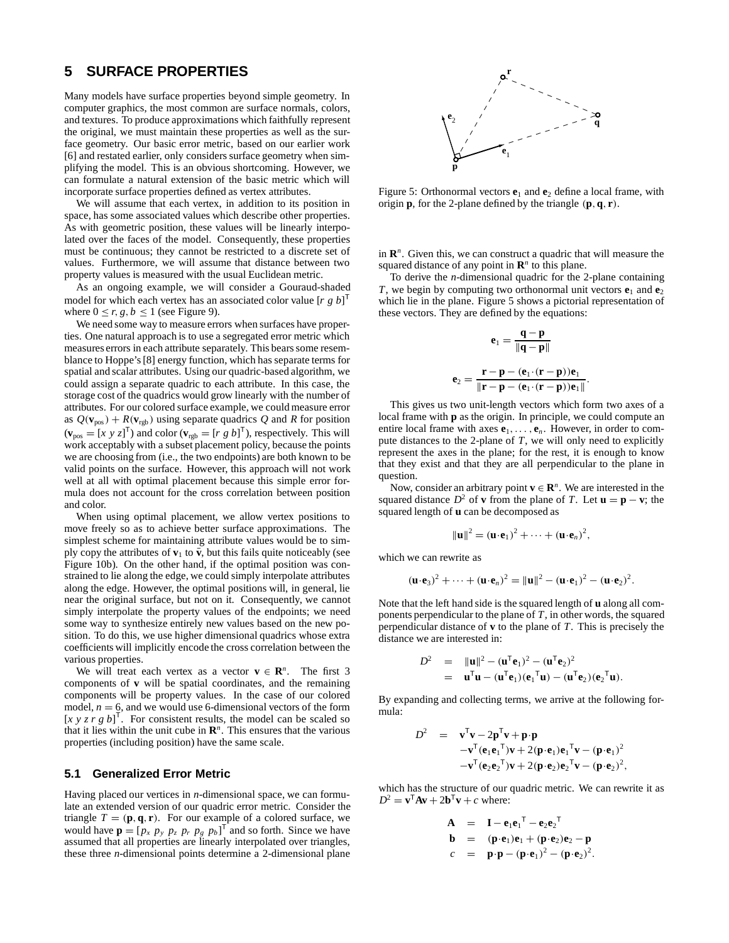### **5 SURFACE PROPERTIES**

Many models have surface properties beyond simple geometry. In computer graphics, the most common are surface normals, colors, and textures. To produce approximations which faithfully represent the original, we must maintain these properties as well as the surface geometry. Our basic error metric, based on our earlier work [6] and restated earlier, only considers surface geometry when simplifying the model. This is an obvious shortcoming. However, we can formulate a natural extension of the basic metric which will incorporate surface properties defined as vertex attributes.

We will assume that each vertex, in addition to its position in space, has some associated values which describe other properties. As with geometric position, these values will be linearly interpolated over the faces of the model. Consequently, these properties must be continuous; they cannot be restricted to a discrete set of values. Furthermore, we will assume that distance between two property values is measured with the usual Euclidean metric.

As an ongoing example, we will consider a Gouraud-shaded model for which each vertex has an associated color value [*rgb*] T where  $0 \le r, g, b \le 1$  (see Figure 9).

We need some way to measure errors when surfaces have properties. One natural approach is to use a segregated error metric which measures errors in each attribute separately. This bears some resemblance to Hoppe's [8] energy function, which has separate terms for spatial and scalar attributes. Using our quadric-based algorithm, we could assign a separate quadric to each attribute. In this case, the storage cost of the quadrics would grow linearly with the number of attributes. For our colored surface example, we could measure error as  $Q(\mathbf{v}_{pos}) + R(\mathbf{v}_{rgb})$  using separate quadrics Q and R for position  $(\mathbf{v}_{pos} = [x \ y \ z]^T)$  and color  $(\mathbf{v}_{rgb} = [r \ g \ b]^T)$ , respectively. This will work acceptably with a subset placement policy, because the points we are choosing from (i.e., the two endpoints) are both known to be valid points on the surface. However, this approach will not work well at all with optimal placement because this simple error formula does not account for the cross correlation between position and color.

When using optimal placement, we allow vertex positions to move freely so as to achieve better surface approximations. The simplest scheme for maintaining attribute values would be to simply copy the attributes of  $\mathbf{v}_1$  to  $\bar{\mathbf{v}}$ , but this fails quite noticeably (see Figure 10b). On the other hand, if the optimal position was constrained to lie along the edge, we could simply interpolate attributes along the edge. However, the optimal positions will, in general, lie near the original surface, but not on it. Consequently, we cannot simply interpolate the property values of the endpoints; we need some way to synthesize entirely new values based on the new position. To do this, we use higher dimensional quadrics whose extra coefficients will implicitly encode the cross correlation between the various properties.

We will treat each vertex as a vector  $\mathbf{v} \in \mathbb{R}^n$ . The first 3 components of **v** will be spatial coordinates, and the remaining components will be property values. In the case of our colored model,  $n = 6$ , and we would use 6-dimensional vectors of the form [ $x \ y \ z \ r \ g \ b$ ]<sup>T</sup>. For consistent results, the model can be scaled so that it lies within the unit cube in  $\mathbb{R}^n$ . This ensures that the various properties (including position) have the same scale.

#### **5.1 Generalized Error Metric**

Having placed our vertices in *n*-dimensional space, we can formulate an extended version of our quadric error metric. Consider the triangle  $T = (\mathbf{p}, \mathbf{q}, \mathbf{r})$ . For our example of a colored surface, we would have  $\mathbf{p} = [p_x \ p_y \ p_z \ p_r \ p_g \ p_b]^\mathsf{T}$  and so forth. Since we have assumed that all properties are linearly interpolated over triangles, these three *n*-dimensional points determine a 2-dimensional plane



Figure 5: Orthonormal vectors  $e_1$  and  $e_2$  define a local frame, with origin **p**, for the 2-plane defined by the triangle (**p**,**q**, **r**).

in **R***<sup>n</sup>*. Given this, we can construct a quadric that will measure the squared distance of any point in  $\mathbb{R}^n$  to this plane.

To derive the *n*-dimensional quadric for the 2-plane containing *T*, we begin by computing two orthonormal unit vectors  $e_1$  and  $e_2$ which lie in the plane. Figure 5 shows a pictorial representation of these vectors. They are defined by the equations:

$$
e_1 = \frac{q-p}{\|q-p\|}
$$

$$
e_2 = \frac{r-p - (e_1 \cdot (r-p))e_1}{\|r-p - (e_1 \cdot (r-p))e_1\|}
$$

.

This gives us two unit-length vectors which form two axes of a local frame with **p** as the origin. In principle, we could compute an entire local frame with axes  $e_1, \ldots, e_n$ . However, in order to compute distances to the 2-plane of *T*, we will only need to explicitly represent the axes in the plane; for the rest, it is enough to know that they exist and that they are all perpendicular to the plane in question.

Now, consider an arbitrary point  $\mathbf{v} \in \mathbb{R}^n$ . We are interested in the squared distance  $D^2$  of **v** from the plane of *T*. Let  $\mathbf{u} = \mathbf{p} - \mathbf{v}$ ; the squared length of **u** can be decomposed as

$$
\|\mathbf{u}\|^2 = (\mathbf{u} \cdot \mathbf{e}_1)^2 + \cdots + (\mathbf{u} \cdot \mathbf{e}_n)^2,
$$

which we can rewrite as

$$
(\mathbf{u}\cdot\mathbf{e}_3)^2+\cdots+(\mathbf{u}\cdot\mathbf{e}_n)^2=\|\mathbf{u}\|^2-(\mathbf{u}\cdot\mathbf{e}_1)^2-(\mathbf{u}\cdot\mathbf{e}_2)^2.
$$

Note that the left hand side is the squared length of **u** along all components perpendicular to the plane of *T*, in other words, the squared perpendicular distance of **v** to the plane of *T*. This is precisely the distance we are interested in:

$$
D2 = ||\mathbf{u}||2 - (\mathbf{u}^{T} \mathbf{e}_{1})2 - (\mathbf{u}^{T} \mathbf{e}_{2})2
$$
  
=  $\mathbf{u}^{T} \mathbf{u} - (\mathbf{u}^{T} \mathbf{e}_{1})(\mathbf{e}_{1}^{T} \mathbf{u}) - (\mathbf{u}^{T} \mathbf{e}_{2})(\mathbf{e}_{2}^{T} \mathbf{u}).$ 

By expanding and collecting terms, we arrive at the following formula:

$$
D2 = \mathbf{v}^{\mathsf{T}} \mathbf{v} - 2 \mathbf{p}^{\mathsf{T}} \mathbf{v} + \mathbf{p} \cdot \mathbf{p}
$$
  
- \mathbf{v}^{\mathsf{T}} (\mathbf{e}\_1 \mathbf{e}\_1^{\mathsf{T}}) \mathbf{v} + 2 (\mathbf{p} \cdot \mathbf{e}\_1) \mathbf{e}\_1^{\mathsf{T}} \mathbf{v} - (\mathbf{p} \cdot \mathbf{e}\_1)^2  
- \mathbf{v}^{\mathsf{T}} (\mathbf{e}\_2 \mathbf{e}\_2^{\mathsf{T}}) \mathbf{v} + 2 (\mathbf{p} \cdot \mathbf{e}\_2) \mathbf{e}\_2^{\mathsf{T}} \mathbf{v} - (\mathbf{p} \cdot \mathbf{e}\_2)^2,

which has the structure of our quadric metric. We can rewrite it as  $D^2 = \mathbf{v}^\mathsf{T} \mathbf{A} \mathbf{v} + 2 \mathbf{b}^\mathsf{T} \mathbf{v} + c$  where:

$$
\begin{array}{rcl}\n\mathbf{A} & = & \mathbf{I} - \mathbf{e}_1 \mathbf{e}_1^\top - \mathbf{e}_2 \mathbf{e}_2^\top \\
\mathbf{b} & = & (\mathbf{p} \cdot \mathbf{e}_1) \mathbf{e}_1 + (\mathbf{p} \cdot \mathbf{e}_2) \mathbf{e}_2 - \mathbf{p} \\
c & = & \mathbf{p} \cdot \mathbf{p} - (\mathbf{p} \cdot \mathbf{e}_1)^2 - (\mathbf{p} \cdot \mathbf{e}_2)^2.\n\end{array}
$$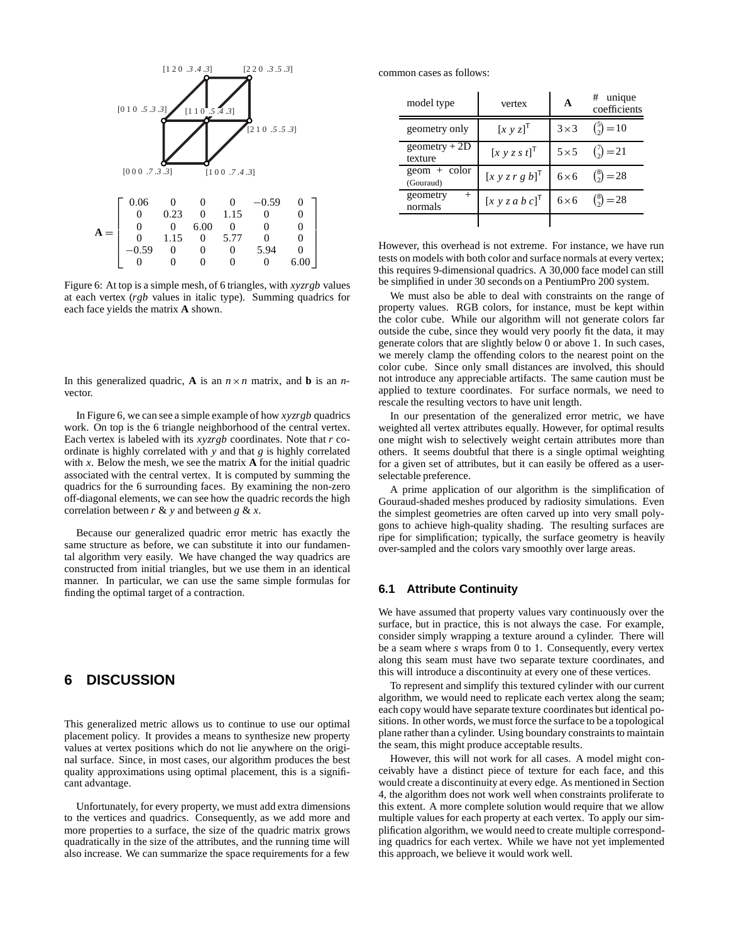

Figure 6: At top is a simple mesh, of 6 triangles, with *xyzrgb* values at each vertex (*rgb* values in italic type). Summing quadrics for each face yields the matrix **A** shown.

In this generalized quadric, **A** is an  $n \times n$  matrix, and **b** is an *n*vector.

In Figure 6, we can see a simple example of how *xyzrgb* quadrics work. On top is the 6 triangle neighborhood of the central vertex. Each vertex is labeled with its *xyzrgb* coordinates. Note that *r* coordinate is highly correlated with *y* and that *g* is highly correlated with  $x$ . Below the mesh, we see the matrix  $A$  for the initial quadric associated with the central vertex. It is computed by summing the quadrics for the 6 surrounding faces. By examining the non-zero off-diagonal elements, we can see how the quadric records the high correlation between  $r \& y$  and between  $g \& x$ .

Because our generalized quadric error metric has exactly the same structure as before, we can substitute it into our fundamental algorithm very easily. We have changed the way quadrics are constructed from initial triangles, but we use them in an identical manner. In particular, we can use the same simple formulas for finding the optimal target of a contraction.

# **6 DISCUSSION**

This generalized metric allows us to continue to use our optimal placement policy. It provides a means to synthesize new property values at vertex positions which do not lie anywhere on the original surface. Since, in most cases, our algorithm produces the best quality approximations using optimal placement, this is a significant advantage.

Unfortunately, for every property, we must add extra dimensions to the vertices and quadrics. Consequently, as we add more and more properties to a surface, the size of the quadric matrix grows quadratically in the size of the attributes, and the running time will also increase. We can summarize the space requirements for a few

common cases as follows:

| model type                    | vertex                                 | A            | $#$ unique<br>coefficients |
|-------------------------------|----------------------------------------|--------------|----------------------------|
| geometry only                 | $[x y z]^{T}$                          | $3\times3$   | $\binom{5}{2} = 10$        |
| geometry $+2D$<br>texture     | $[x y z s t]$ <sup>T</sup>             | $5 \times 5$ | $\binom{7}{2} = 21$        |
| $geom + color$<br>(Gouraud)   | $[x y z r g b]^\mathsf{T}$             | $6\times 6$  | $\binom{8}{2} = 28$        |
| geometry<br>$^{+}$<br>normals | $[x \ y \ z \ a \ b \ c]^{\mathsf{T}}$ | $6\times 6$  | $\binom{8}{2} = 28$        |
|                               |                                        |              |                            |

However, this overhead is not extreme. For instance, we have run tests on models with both color and surface normals at every vertex; this requires 9-dimensional quadrics. A 30,000 face model can still be simplified in under 30 seconds on a PentiumPro 200 system.

We must also be able to deal with constraints on the range of property values. RGB colors, for instance, must be kept within the color cube. While our algorithm will not generate colors far outside the cube, since they would very poorly fit the data, it may generate colors that are slightly below 0 or above 1. In such cases, we merely clamp the offending colors to the nearest point on the color cube. Since only small distances are involved, this should not introduce any appreciable artifacts. The same caution must be applied to texture coordinates. For surface normals, we need to rescale the resulting vectors to have unit length.

In our presentation of the generalized error metric, we have weighted all vertex attributes equally. However, for optimal results one might wish to selectively weight certain attributes more than others. It seems doubtful that there is a single optimal weighting for a given set of attributes, but it can easily be offered as a userselectable preference.

A prime application of our algorithm is the simplification of Gouraud-shaded meshes produced by radiosity simulations. Even the simplest geometries are often carved up into very small polygons to achieve high-quality shading. The resulting surfaces are ripe for simplification; typically, the surface geometry is heavily over-sampled and the colors vary smoothly over large areas.

### **6.1 Attribute Continuity**

We have assumed that property values vary continuously over the surface, but in practice, this is not always the case. For example, consider simply wrapping a texture around a cylinder. There will be a seam where *s* wraps from 0 to 1. Consequently, every vertex along this seam must have two separate texture coordinates, and this will introduce a discontinuity at every one of these vertices.

To represent and simplify this textured cylinder with our current algorithm, we would need to replicate each vertex along the seam; each copy would have separate texture coordinates but identical positions. In other words, we must force the surface to be a topological plane rather than a cylinder. Using boundary constraints to maintain the seam, this might produce acceptable results.

However, this will not work for all cases. A model might conceivably have a distinct piece of texture for each face, and this would create a discontinuity at every edge. As mentioned in Section 4, the algorithm does not work well when constraints proliferate to this extent. A more complete solution would require that we allow multiple values for each property at each vertex. To apply our simplification algorithm, we would need to create multiple corresponding quadrics for each vertex. While we have not yet implemented this approach, we believe it would work well.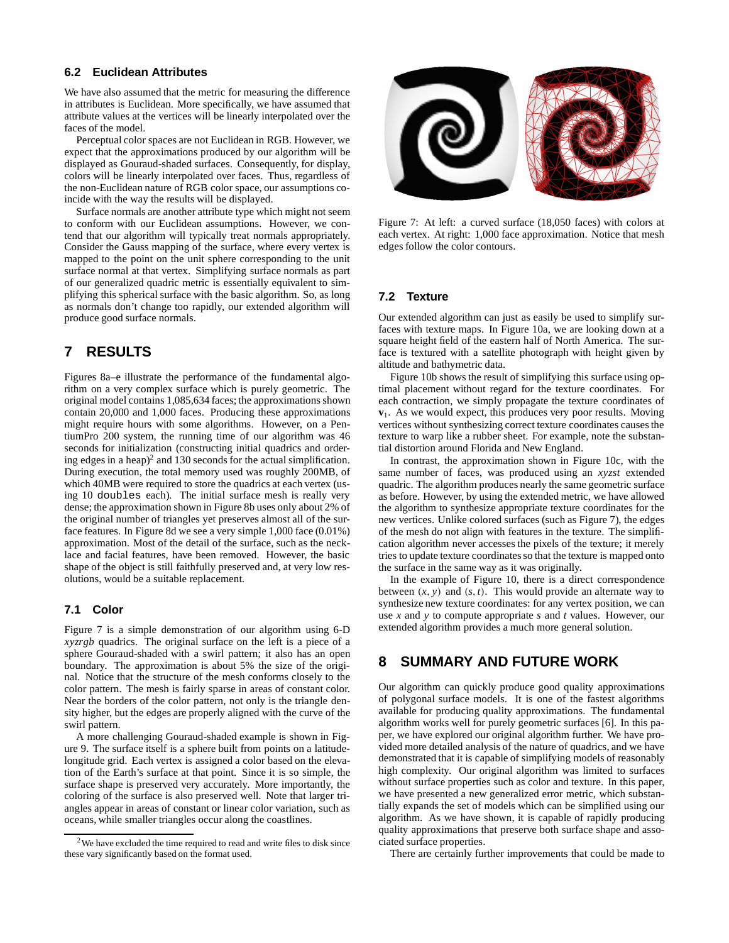### **6.2 Euclidean Attributes**

We have also assumed that the metric for measuring the difference in attributes is Euclidean. More specifically, we have assumed that attribute values at the vertices will be linearly interpolated over the faces of the model.

Perceptual color spaces are not Euclidean in RGB. However, we expect that the approximations produced by our algorithm will be displayed as Gouraud-shaded surfaces. Consequently, for display, colors will be linearly interpolated over faces. Thus, regardless of the non-Euclidean nature of RGB color space, our assumptions coincide with the way the results will be displayed.

Surface normals are another attribute type which might not seem to conform with our Euclidean assumptions. However, we contend that our algorithm will typically treat normals appropriately. Consider the Gauss mapping of the surface, where every vertex is mapped to the point on the unit sphere corresponding to the unit surface normal at that vertex. Simplifying surface normals as part of our generalized quadric metric is essentially equivalent to simplifying this spherical surface with the basic algorithm. So, as long as normals don't change too rapidly, our extended algorithm will produce good surface normals.

### **7 RESULTS**

Figures 8a–e illustrate the performance of the fundamental algorithm on a very complex surface which is purely geometric. The original model contains 1,085,634 faces; the approximations shown contain 20,000 and 1,000 faces. Producing these approximations might require hours with some algorithms. However, on a PentiumPro 200 system, the running time of our algorithm was 46 seconds for initialization (constructing initial quadrics and ordering edges in a heap)<sup>2</sup> and 130 seconds for the actual simplification. During execution, the total memory used was roughly 200MB, of which 40MB were required to store the quadrics at each vertex (using 10 doubles each). The initial surface mesh is really very dense; the approximation shown in Figure 8b uses only about 2% of the original number of triangles yet preserves almost all of the surface features. In Figure 8d we see a very simple 1,000 face (0.01%) approximation. Most of the detail of the surface, such as the necklace and facial features, have been removed. However, the basic shape of the object is still faithfully preserved and, at very low resolutions, would be a suitable replacement.

### **7.1 Color**

Figure 7 is a simple demonstration of our algorithm using 6-D *xyzrgb* quadrics. The original surface on the left is a piece of a sphere Gouraud-shaded with a swirl pattern; it also has an open boundary. The approximation is about 5% the size of the original. Notice that the structure of the mesh conforms closely to the color pattern. The mesh is fairly sparse in areas of constant color. Near the borders of the color pattern, not only is the triangle density higher, but the edges are properly aligned with the curve of the swirl pattern.

A more challenging Gouraud-shaded example is shown in Figure 9. The surface itself is a sphere built from points on a latitudelongitude grid. Each vertex is assigned a color based on the elevation of the Earth's surface at that point. Since it is so simple, the surface shape is preserved very accurately. More importantly, the coloring of the surface is also preserved well. Note that larger triangles appear in areas of constant or linear color variation, such as oceans, while smaller triangles occur along the coastlines.



Figure 7: At left: a curved surface (18,050 faces) with colors at each vertex. At right: 1,000 face approximation. Notice that mesh edges follow the color contours.

#### **7.2 Texture**

Our extended algorithm can just as easily be used to simplify surfaces with texture maps. In Figure 10a, we are looking down at a square height field of the eastern half of North America. The surface is textured with a satellite photograph with height given by altitude and bathymetric data.

Figure 10b shows the result of simplifying this surface using optimal placement without regard for the texture coordinates. For each contraction, we simply propagate the texture coordinates of **v**1. As we would expect, this produces very poor results. Moving vertices without synthesizing correct texture coordinates causes the texture to warp like a rubber sheet. For example, note the substantial distortion around Florida and New England.

In contrast, the approximation shown in Figure 10c, with the same number of faces, was produced using an *xyzst* extended quadric. The algorithm produces nearly the same geometric surface as before. However, by using the extended metric, we have allowed the algorithm to synthesize appropriate texture coordinates for the new vertices. Unlike colored surfaces (such as Figure 7), the edges of the mesh do not align with features in the texture. The simplification algorithm never accesses the pixels of the texture; it merely tries to update texture coordinates so that the texture is mapped onto the surface in the same way as it was originally.

In the example of Figure 10, there is a direct correspondence between  $(x, y)$  and  $(s, t)$ . This would provide an alternate way to synthesize new texture coordinates: for any vertex position, we can use *x* and *y* to compute appropriate *s* and *t* values. However, our extended algorithm provides a much more general solution.

# **8 SUMMARY AND FUTURE WORK**

Our algorithm can quickly produce good quality approximations of polygonal surface models. It is one of the fastest algorithms available for producing quality approximations. The fundamental algorithm works well for purely geometric surfaces [6]. In this paper, we have explored our original algorithm further. We have provided more detailed analysis of the nature of quadrics, and we have demonstrated that it is capable of simplifying models of reasonably high complexity. Our original algorithm was limited to surfaces without surface properties such as color and texture. In this paper, we have presented a new generalized error metric, which substantially expands the set of models which can be simplified using our algorithm. As we have shown, it is capable of rapidly producing quality approximations that preserve both surface shape and associated surface properties.

There are certainly further improvements that could be made to

<sup>2</sup>We have excluded the time required to read and write files to disk since these vary significantly based on the format used.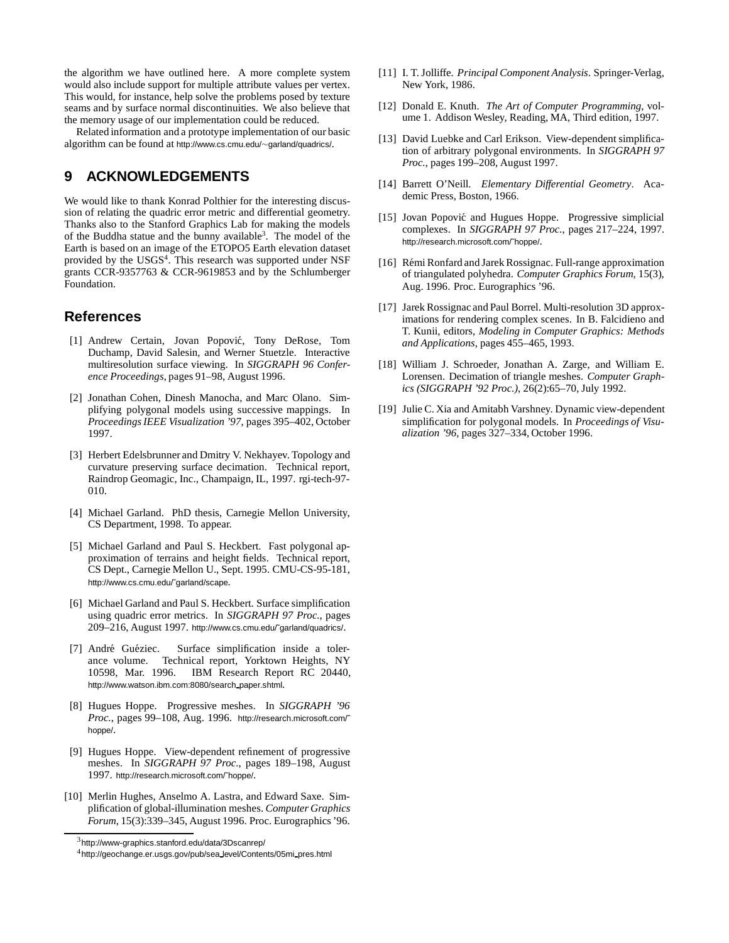the algorithm we have outlined here. A more complete system would also include support for multiple attribute values per vertex. This would, for instance, help solve the problems posed by texture seams and by surface normal discontinuities. We also believe that the memory usage of our implementation could be reduced.

Related information and a prototype implementation of our basic algorithm can be found at http://www.cs.cmu.edu/∼garland/quadrics/.

# **9 ACKNOWLEDGEMENTS**

We would like to thank Konrad Polthier for the interesting discussion of relating the quadric error metric and differential geometry. Thanks also to the Stanford Graphics Lab for making the models of the Buddha statue and the bunny available3. The model of the Earth is based on an image of the ETOPO5 Earth elevation dataset provided by the USGS<sup>4</sup>. This research was supported under NSF grants CCR-9357763 & CCR-9619853 and by the Schlumberger Foundation.

### **References**

- [1] Andrew Certain, Jovan Popović, Tony DeRose, Tom Duchamp, David Salesin, and Werner Stuetzle. Interactive multiresolution surface viewing. In *SIGGRAPH 96 Conference Proceedings*, pages 91–98, August 1996.
- [2] Jonathan Cohen, Dinesh Manocha, and Marc Olano. Simplifying polygonal models using successive mappings. In *Proceedings IEEE Visualization '97*, pages 395–402, October 1997.
- [3] Herbert Edelsbrunner and Dmitry V. Nekhayev. Topology and curvature preserving surface decimation. Technical report, Raindrop Geomagic, Inc., Champaign, IL, 1997. rgi-tech-97- 010.
- [4] Michael Garland. PhD thesis, Carnegie Mellon University, CS Department, 1998. To appear.
- [5] Michael Garland and Paul S. Heckbert. Fast polygonal approximation of terrains and height fields. Technical report, CS Dept., Carnegie Mellon U., Sept. 1995. CMU-CS-95-181, http://www.cs.cmu.edu/˜garland/scape.
- [6] Michael Garland and Paul S. Heckbert. Surface simplification using quadric error metrics. In *SIGGRAPH 97 Proc.*, pages 209–216, August 1997. http://www.cs.cmu.edu/˜garland/quadrics/.
- [7] André Guéziec. Surface simplification inside a tolerance volume. Technical report, Yorktown Heights, NY 10598, Mar. 1996. IBM Research Report RC 20440, http://www.watson.ibm.com:8080/search paper.shtml.
- [8] Hugues Hoppe. Progressive meshes. In *SIGGRAPH '96 Proc.*, pages 99–108, Aug. 1996. http://research.microsoft.com/˜ hoppe/.
- [9] Hugues Hoppe. View-dependent refinement of progressive meshes. In *SIGGRAPH 97 Proc.*, pages 189–198, August 1997. http://research.microsoft.com/˜hoppe/.
- [10] Merlin Hughes, Anselmo A. Lastra, and Edward Saxe. Simplification of global-illumination meshes. *Computer Graphics Forum*, 15(3):339–345, August 1996. Proc. Eurographics '96.
- [11] I. T. Jolliffe. *Principal Component Analysis*. Springer-Verlag, New York, 1986.
- [12] Donald E. Knuth. *The Art of Computer Programming*, volume 1. Addison Wesley, Reading, MA, Third edition, 1997.
- [13] David Luebke and Carl Erikson. View-dependent simplification of arbitrary polygonal environments. In *SIGGRAPH 97 Proc.*, pages 199–208, August 1997.
- [14] Barrett O'Neill. *Elementary Differential Geometry*. Academic Press, Boston, 1966.
- [15] Jovan Popović and Hugues Hoppe. Progressive simplicial complexes. In *SIGGRAPH 97 Proc.*, pages 217–224, 1997. http://research.microsoft.com/˜hoppe/.
- [16] Rémi Ronfard and Jarek Rossignac. Full-range approximation of triangulated polyhedra. *Computer Graphics Forum*, 15(3), Aug. 1996. Proc. Eurographics '96.
- [17] Jarek Rossignac and Paul Borrel. Multi-resolution 3D approximations for rendering complex scenes. In B. Falcidieno and T. Kunii, editors, *Modeling in Computer Graphics: Methods and Applications*, pages 455–465, 1993.
- [18] William J. Schroeder, Jonathan A. Zarge, and William E. Lorensen. Decimation of triangle meshes. *Computer Graphics (SIGGRAPH '92 Proc.)*, 26(2):65–70, July 1992.
- [19] Julie C. Xia and Amitabh Varshney. Dynamic view-dependent simplification for polygonal models. In *Proceedings of Visualization '96*, pages 327–334, October 1996.

 $3$ http://www-graphics.stanford.edu/data/3Dscanrep/

<sup>4</sup>http://geochange.er.usgs.gov/pub/sea level/Contents/05mi pres.html